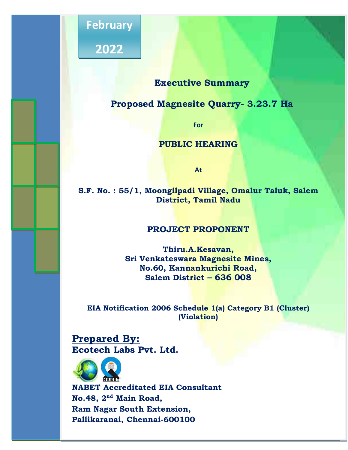

**2022** 

# **Executive Summary**

 $\begin{array}{|c|c|c|c|c|}\hline \textbf{2022} & \textbf{1} & \textbf{1} & \textbf{1} & \textbf{1} & \textbf{1} & \textbf{1} & \textbf{1} & \textbf{1} & \textbf{1} & \textbf{1} & \textbf{1} & \textbf{1} & \textbf{1} & \textbf{1} & \textbf{1} & \textbf{1} & \textbf{1} & \textbf{1} & \textbf{1} & \textbf{1} & \textbf{1} & \textbf{1} & \textbf{1} & \textbf{1} & \textbf{1} & \textbf{1} & \textbf{1} & \text$ 

# **Proposed Magnesite Quarry- 3.23.7 Ha**

**For** 

## **PUBLIC HEARING**

**At**

**S.F. No. : 55/1, Moongilpadi Village, Omalur Taluk, Salem District, Tamil Nadu** 

# **PROJECT PROPONENT**

**Thiru.A.Kesavan, Sri Venkateswara Magnesite Mines, No.60, Kannankurichi Road, Salem District – 636 008** 

**EIA Notification 2006 Schedule 1(a) Category B1 (Cluster) (Violation)** 

**Prepared By: Ecotech Labs Pvt. Ltd.**



**NABET Accreditated EIA Consultant No.48, 2nd Main Road, Ram Nagar South Extension, Pallikaranai, Chennai-600100**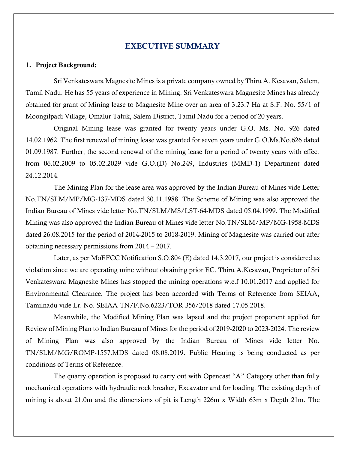### EXECUTIVE SUMMARY

#### 1. Project Background:

 Sri Venkateswara Magnesite Mines is a private company owned by Thiru A. Kesavan, Salem, Tamil Nadu. He has 55 years of experience in Mining. Sri Venkateswara Magnesite Mines has already obtained for grant of Mining lease to Magnesite Mine over an area of 3.23.7 Ha at S.F. No. 55/1 of Moongilpadi Village, Omalur Taluk, Salem District, Tamil Nadu for a period of 20 years.

 Original Mining lease was granted for twenty years under G.O. Ms. No. 926 dated 14.02.1962. The first renewal of mining lease was granted for seven years under G.O.Ms.No.626 dated 01.09.1987. Further, the second renewal of the mining lease for a period of twenty years with effect from 06.02.2009 to 05.02.2029 vide G.O.(D) No.249, Industries (MMD-1) Department dated 24.12.2014.

 The Mining Plan for the lease area was approved by the Indian Bureau of Mines vide Letter No.TN/SLM/MP/MG-137-MDS dated 30.11.1988. The Scheme of Mining was also approved the Indian Bureau of Mines vide letter No.TN/SLM/MS/LST-64-MDS dated 05.04.1999. The Modified Mining was also approved the Indian Bureau of Mines vide letter No.TN/SLM/MP/MG-1958-MDS dated 26.08.2015 for the period of 2014-2015 to 2018-2019. Mining of Magnesite was carried out after obtaining necessary permissions from 2014 – 2017.

 Later, as per MoEFCC Notification S.O.804 (E) dated 14.3.2017, our project is considered as violation since we are operating mine without obtaining prior EC. Thiru A.Kesavan, Proprietor of Sri Venkateswara Magnesite Mines has stopped the mining operations w.e.f 10.01.2017 and applied for Environmental Clearance. The project has been accorded with Terms of Reference from SEIAA, Tamilnadu vide Lr. No. SEIAA-TN/F.No.6223/TOR-356/2018 dated 17.05.2018.

 Meanwhile, the Modified Mining Plan was lapsed and the project proponent applied for Review of Mining Plan to Indian Bureau of Mines for the period of 2019-2020 to 2023-2024. The review of Mining Plan was also approved by the Indian Bureau of Mines vide letter No. TN/SLM/MG/ROMP-1557.MDS dated 08.08.2019. Public Hearing is being conducted as per conditions of Terms of Reference.

The quarry operation is proposed to carry out with Opencast "A" Category other than fully mechanized operations with hydraulic rock breaker, Excavator and for loading. The existing depth of mining is about 21.0m and the dimensions of pit is Length 226m x Width 63m x Depth 21m. The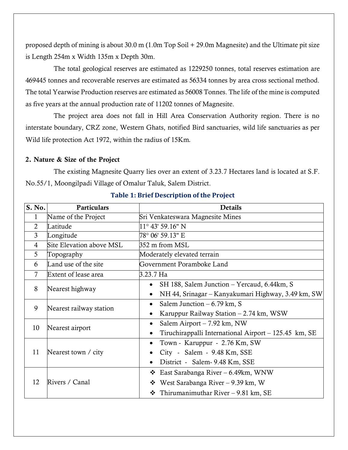proposed depth of mining is about 30.0 m (1.0m Top Soil + 29.0m Magnesite) and the Ultimate pit size is Length 254m x Width 135m x Depth 30m.

 The total geological reserves are estimated as 1229250 tonnes, total reserves estimation are 469445 tonnes and recoverable reserves are estimated as 56334 tonnes by area cross sectional method. The total Yearwise Production reserves are estimated as 56008 Tonnes. The life of the mine is computed as five years at the annual production rate of 11202 tonnes of Magnesite.

 The project area does not fall in Hill Area Conservation Authority region. There is no interstate boundary, CRZ zone, Western Ghats, notified Bird sanctuaries, wild life sanctuaries as per Wild life protection Act 1972, within the radius of 15Km.

#### 2. Nature & Size of the Project

 The existing Magnesite Quarry lies over an extent of 3.23.7 Hectares land is located at S.F. No.55/1, Moongilpadi Village of Omalur Taluk, Salem District.

| S. No.         | Particulars              | <b>Details</b>                                        |  |  |  |  |
|----------------|--------------------------|-------------------------------------------------------|--|--|--|--|
| 1              | Name of the Project      | Sri Venkateswara Magnesite Mines                      |  |  |  |  |
| $\overline{2}$ | Latitude                 | $11^{\circ}$ 43' 59.16" N                             |  |  |  |  |
| $\overline{3}$ | Longitude                | 78° 06' 59.13" E                                      |  |  |  |  |
| 4              | Site Elevation above MSL | 352 m from MSL                                        |  |  |  |  |
| 5              | Topography               | Moderately elevated terrain                           |  |  |  |  |
| 6              | Land use of the site     | Government Poramboke Land                             |  |  |  |  |
| 7              | Extent of lease area     | 3.23.7 Ha                                             |  |  |  |  |
| 8              |                          | SH 188, Salem Junction – Yercaud, 6.44km, S           |  |  |  |  |
|                | Nearest highway          | NH 44, Srinagar – Kanyakumari Highway, 3.49 km, SW    |  |  |  |  |
| 9              | Nearest railway station  | Salem Junction $-6.79$ km, S<br>$\bullet$             |  |  |  |  |
|                |                          | Karuppur Railway Station – 2.74 km, WSW<br>$\bullet$  |  |  |  |  |
| 10             | Nearest airport          | Salem Airport $-7.92$ km, NW<br>٠                     |  |  |  |  |
|                |                          | Tiruchirappalli International Airport – 125.45 km, SE |  |  |  |  |
|                |                          | Town - Karuppur - 2.76 Km, SW                         |  |  |  |  |
| 11             | Nearest town / city      | City - Salem - 9.48 Km, SSE                           |  |  |  |  |
|                |                          | District - Salem- 9.48 Km, SSE                        |  |  |  |  |
|                |                          | East Sarabanga River – 6.49km, WNW<br>❖               |  |  |  |  |
| 12             | Rivers / Canal           | ❖ West Sarabanga River – 9.39 km, W                   |  |  |  |  |
|                |                          | Thirumanimuthar River $-9.81$ km, SE                  |  |  |  |  |

**Table 1: Brief Description of the Project**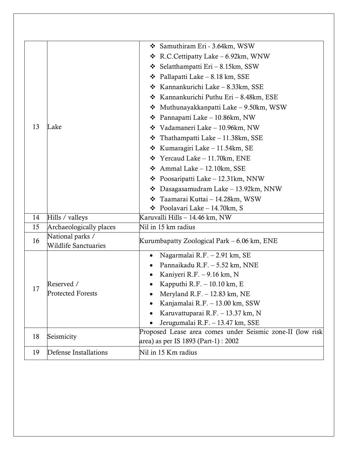| 13 | Lake                                            | Samuthiram Eri - 3.64km, WSW<br>❖ R.C.Cettipatty Lake – 6.92km, WNW<br>❖ Selatthampatti Eri – 8.15km, SSW<br>Pallapatti Lake – 8.18 km, SSE<br>❖<br>❖ Kannankurichi Lake – 8.33km, SSE<br>* Kannankurichi Puthu Eri - 8.48km, ESE<br>$\div$ Muthunayakkanpatti Lake – 9.50km, WSW<br>Pannapatti Lake – 10.86km, NW<br>❖<br>❖ Vadamaneri Lake – 10.96km, NW<br>$\div$ Thathampatti Lake – 11.38km, SSE<br>❖ Kumaragiri Lake – 11.54km, SE<br>$\div$ Yercaud Lake – 11.70km, ENE |
|----|-------------------------------------------------|--------------------------------------------------------------------------------------------------------------------------------------------------------------------------------------------------------------------------------------------------------------------------------------------------------------------------------------------------------------------------------------------------------------------------------------------------------------------------------|
|    |                                                 | $\div$ Ammal Lake – 12.10km, SSE<br>$\div$ Poosaripatti Lake – 12.31km, NNW<br>$\div$ Dasagasamudram Lake – 13.92km, NNW<br>❖ Taamarai Kuttai – 14.28km, WSW<br>Poolavari Lake - 14.70km, S                                                                                                                                                                                                                                                                                    |
| 14 | Hills / valleys                                 | Karuvalli Hills - 14.46 km, NW                                                                                                                                                                                                                                                                                                                                                                                                                                                 |
| 15 | Archaeologically places                         | Nil in 15 km radius                                                                                                                                                                                                                                                                                                                                                                                                                                                            |
| 16 | National parks /<br><b>Wildlife Sanctuaries</b> | Kurumbapatty Zoological Park – 6.06 km, ENE                                                                                                                                                                                                                                                                                                                                                                                                                                    |
| 17 | Reserved /<br><b>Protected Forests</b>          | Nagarmalai R.F. - 2.91 km, SE<br>Pannaikadu R.F. - 5.52 km, NNE<br>Kaniyeri R.F. - 9.16 km, N<br>Kapputhi R.F. $-10.10$ km, E<br>Meryland R.F. - 12.83 km, NE<br>Kanjamalai R.F. - 13.00 km, SSW<br>Karuvattuparai R.F. - 13.37 km, N<br>Jerugumalai R.F. - 13.47 km, SSE                                                                                                                                                                                                      |
| 18 | Seismicity                                      | Proposed Lease area comes under Seismic zone-II (low risk<br>area) as per IS 1893 (Part-1) : 2002                                                                                                                                                                                                                                                                                                                                                                              |
| 19 | Defense Installations                           | Nil in 15 Km radius                                                                                                                                                                                                                                                                                                                                                                                                                                                            |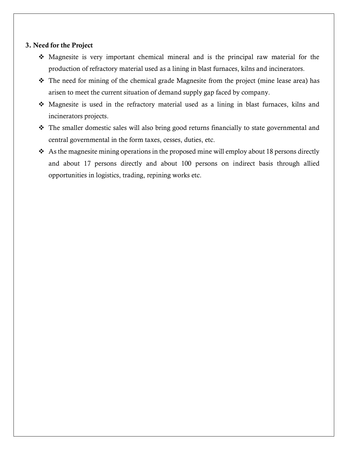#### 3. Need for the Project

- Magnesite is very important chemical mineral and is the principal raw material for the production of refractory material used as a lining in blast furnaces, kilns and incinerators.
- The need for mining of the chemical grade Magnesite from the project (mine lease area) has arisen to meet the current situation of demand supply gap faced by company.
- Magnesite is used in the refractory material used as a lining in blast furnaces, kilns and incinerators projects.
- \* The smaller domestic sales will also bring good returns financially to state governmental and central governmental in the form taxes, cesses, duties, etc.
- $\triangleleft$  As the magnesite mining operations in the proposed mine will employ about 18 persons directly and about 17 persons directly and about 100 persons on indirect basis through allied opportunities in logistics, trading, repining works etc.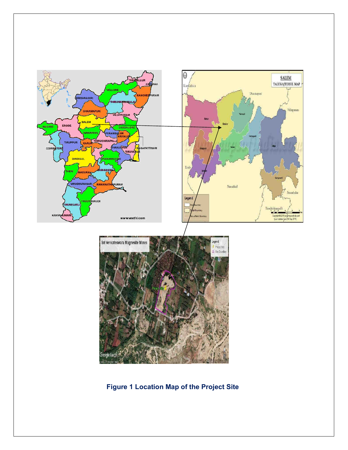

**Figure 1 Location Map of the Project Site**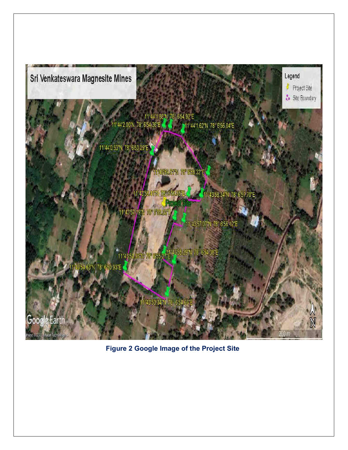

**Figure 2 Google Image of the Project Site**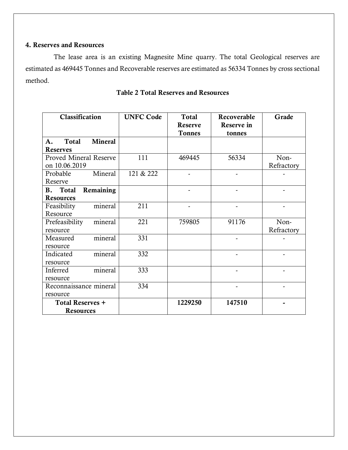## 4. Reserves and Resources

 The lease area is an existing Magnesite Mine quarry. The total Geological reserves are estimated as 469445 Tonnes and Recoverable reserves are estimated as 56334 Tonnes by cross sectional method.

| Classification                                 | <b>UNFC Code</b> | <b>Total</b><br><b>Reserve</b><br><b>Tonnes</b> | Recoverable<br>Reserve in<br>tonnes | Grade              |
|------------------------------------------------|------------------|-------------------------------------------------|-------------------------------------|--------------------|
| Mineral<br><b>Total</b><br>A.                  |                  |                                                 |                                     |                    |
| <b>Reserves</b>                                |                  |                                                 |                                     |                    |
| <b>Proved Mineral Reserve</b><br>on 10.06.2019 | 111              | 469445                                          | 56334                               | Non-<br>Refractory |
| Mineral<br>Probable<br>Reserve                 | 121 & 222        |                                                 |                                     |                    |
| Remaining<br>B. Total<br><b>Resources</b>      |                  |                                                 |                                     |                    |
| mineral<br>Feasibility<br>Resource             | 211              |                                                 |                                     |                    |
| mineral<br>Prefeasibility<br>resource          | 221              | 759805                                          | 91176                               | Non-<br>Refractory |
| mineral<br>Measured<br>resource                | 331              |                                                 |                                     |                    |
| mineral<br>Indicated<br>resource               | 332              |                                                 |                                     |                    |
| mineral<br>Inferred<br>resource                | 333              |                                                 |                                     |                    |
| Reconnaissance mineral<br>resource             | 334              |                                                 |                                     |                    |
| <b>Total Reserves +</b><br><b>Resources</b>    |                  | 1229250                                         | 147510                              |                    |

# Table 2 Total Reserves and Resources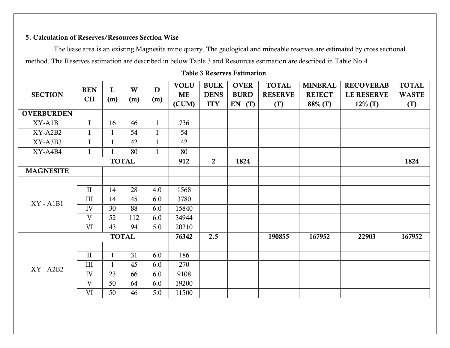# 5. Calculation of Reserves/Resources Section Wise

 The lease area is an existing Magnesite mine quarry. The geological and mineable reserves are estimated by cross sectional method. The Reserves estimation are described in below Table 3 and Resources estimation are described in Table No.4

## Table 3 Reserves Estimation

| <b>SECTION</b>    | <b>BEN</b><br>CH | L<br>(m)     | W<br>(m)     | D<br>(m)     | <b>VOLU</b><br><b>ME</b><br>(CUM) | <b>BULK</b><br><b>DENS</b><br><b>ITY</b> | <b>OVER</b><br><b>BURD</b><br>(T)<br>EN | <b>TOTAL</b><br><b>RESERVE</b><br>(T) | <b>MINERAL</b><br><b>REJECT</b><br>88% (T) | <b>RECOVERAB</b><br><b>LE RESERVE</b><br>$12\%$ (T) | <b>TOTAL</b><br><b>WASTE</b><br>(T) |
|-------------------|------------------|--------------|--------------|--------------|-----------------------------------|------------------------------------------|-----------------------------------------|---------------------------------------|--------------------------------------------|-----------------------------------------------------|-------------------------------------|
| <b>OVERBURDEN</b> |                  |              |              |              |                                   |                                          |                                         |                                       |                                            |                                                     |                                     |
| XY-A1B1           | $\mathbf{I}$     | 16           | 46           | $\mathbf{1}$ | 736                               |                                          |                                         |                                       |                                            |                                                     |                                     |
| XY-A2B2           | $\mathbf I$      | $\mathbf{1}$ | 54           | $\mathbf{1}$ | 54                                |                                          |                                         |                                       |                                            |                                                     |                                     |
| XY-A3B3           | $\mathbf I$      | $\mathbf{1}$ | 42           | $\mathbf{1}$ | 42                                |                                          |                                         |                                       |                                            |                                                     |                                     |
| XY-A4B4           | $\mathbf I$      | 1            | 80           | $\mathbf{1}$ | 80                                |                                          |                                         |                                       |                                            |                                                     |                                     |
|                   |                  |              | <b>TOTAL</b> |              | 912                               | $\overline{2}$                           | 1824                                    |                                       |                                            |                                                     | 1824                                |
| <b>MAGNESITE</b>  |                  |              |              |              |                                   |                                          |                                         |                                       |                                            |                                                     |                                     |
|                   |                  |              |              |              |                                   |                                          |                                         |                                       |                                            |                                                     |                                     |
|                   | $\prod$          | 14           | 28           | 4.0          | 1568                              |                                          |                                         |                                       |                                            |                                                     |                                     |
| <b>XY - A1B1</b>  | III              | 14           | 45           | 6.0          | 3780                              |                                          |                                         |                                       |                                            |                                                     |                                     |
|                   | IV               | 30           | 88           | 6.0          | 15840                             |                                          |                                         |                                       |                                            |                                                     |                                     |
|                   | V                | 52           | 112          | 6.0          | 34944                             |                                          |                                         |                                       |                                            |                                                     |                                     |
|                   | <b>VI</b>        | 43           | 94           | 5.0          | 20210                             |                                          |                                         |                                       |                                            |                                                     |                                     |
|                   |                  |              | <b>TOTAL</b> |              | 76342                             | 2.5                                      |                                         | 190855                                | 167952                                     | 22903                                               | 167952                              |
|                   |                  |              |              |              |                                   |                                          |                                         |                                       |                                            |                                                     |                                     |
|                   | $\mathbf{I}$     | $\mathbf{1}$ | 31           | 6.0          | 186                               |                                          |                                         |                                       |                                            |                                                     |                                     |
| $XY - A2B2$       | III              | $\mathbf{1}$ | 45           | 6.0          | 270                               |                                          |                                         |                                       |                                            |                                                     |                                     |
|                   | IV               | 23           | 66           | 6.0          | 9108                              |                                          |                                         |                                       |                                            |                                                     |                                     |
|                   | V                | 50           | 64           | 6.0          | 19200                             |                                          |                                         |                                       |                                            |                                                     |                                     |
|                   | <b>VI</b>        | 50           | 46           | 5.0          | 11500                             |                                          |                                         |                                       |                                            |                                                     |                                     |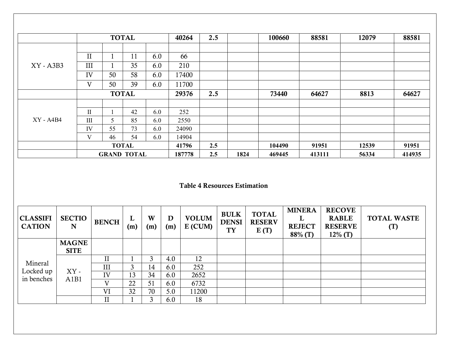|             |              |    | <b>TOTAL</b>       |     | 40264  | 2.5 |      | 100660 | 88581  | 12079 | 88581  |
|-------------|--------------|----|--------------------|-----|--------|-----|------|--------|--------|-------|--------|
|             |              |    |                    |     |        |     |      |        |        |       |        |
|             | $\mathbf{I}$ | п  | 11                 | 6.0 | 66     |     |      |        |        |       |        |
| $XY - A3B3$ | III          |    | 35                 | 6.0 | 210    |     |      |        |        |       |        |
|             | IV           | 50 | 58                 | 6.0 | 17400  |     |      |        |        |       |        |
|             | V            | 50 | 39                 | 6.0 | 11700  |     |      |        |        |       |        |
|             |              |    | <b>TOTAL</b>       |     | 29376  | 2.5 |      | 73440  | 64627  | 8813  | 64627  |
|             |              |    |                    |     |        |     |      |        |        |       |        |
|             | П            |    | 42                 | 6.0 | 252    |     |      |        |        |       |        |
| $XY - A4B4$ | III          | 5  | 85                 | 6.0 | 2550   |     |      |        |        |       |        |
|             | IV           | 55 | 73                 | 6.0 | 24090  |     |      |        |        |       |        |
|             | V            | 46 | 54                 | 6.0 | 14904  |     |      |        |        |       |        |
|             |              |    | <b>TOTAL</b>       |     | 41796  | 2.5 |      | 104490 | 91951  | 12539 | 91951  |
|             |              |    | <b>GRAND TOTAL</b> |     | 187778 | 2.5 | 1824 | 469445 | 413111 | 56334 | 414935 |

## Table 4 Resources Estimation

| <b>CLASSIFI</b><br><b>CATION</b> | <b>SECTIO</b><br>N          | <b>BENCH</b> | L<br>(m) | W<br>(m) | D<br>(m) | <b>VOLUM</b><br>$E$ (CUM) | <b>BULK</b><br><b>DENSI</b><br><b>TY</b> | <b>TOTAL</b><br><b>RESERV</b><br>E(T) | <b>MINERA</b><br><b>REJECT</b><br>88% (T) | <b>RECOVE</b><br><b>RABLE</b><br><b>RESERVE</b><br>$12\%$ (T) | <b>TOTAL WASTE</b><br>(T) |
|----------------------------------|-----------------------------|--------------|----------|----------|----------|---------------------------|------------------------------------------|---------------------------------------|-------------------------------------------|---------------------------------------------------------------|---------------------------|
|                                  | <b>MAGNE</b><br><b>SITE</b> |              |          |          |          |                           |                                          |                                       |                                           |                                                               |                           |
|                                  |                             | $_{\rm II}$  |          | 3        | 4.0      | 12                        |                                          |                                       |                                           |                                                               |                           |
| Mineral                          |                             | III          | 3        | 14       | 6.0      | 252                       |                                          |                                       |                                           |                                                               |                           |
| Locked up<br>in benches          | $XY$ -<br>A1B1              | IV           | 13       | 34       | 6.0      | 2652                      |                                          |                                       |                                           |                                                               |                           |
|                                  |                             | V            | 22       | 51       | 6.0      | 6732                      |                                          |                                       |                                           |                                                               |                           |
|                                  |                             | VI           | 32       | 70       | 5.0      | 11200                     |                                          |                                       |                                           |                                                               |                           |
|                                  |                             | $\mathbf{I}$ |          | 3        | 6.0      | 18                        |                                          |                                       |                                           |                                                               |                           |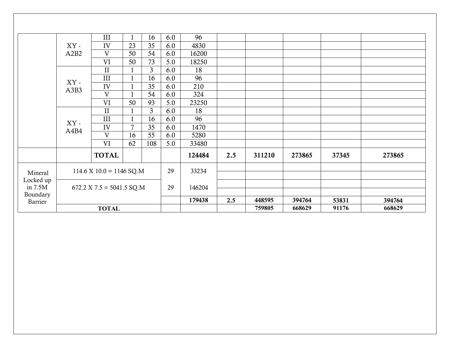|           |        | III                                          |                | 16             | 6.0 | 96     |     |        |        |       |        |
|-----------|--------|----------------------------------------------|----------------|----------------|-----|--------|-----|--------|--------|-------|--------|
|           | $XY$ - | IV                                           | 23             | 35             | 6.0 | 4830   |     |        |        |       |        |
|           | A2B2   | V                                            | 50             | 54             | 6.0 | 16200  |     |        |        |       |        |
|           |        | VI                                           | 50             | 73             | 5.0 | 18250  |     |        |        |       |        |
|           |        | $\mathbf{I}$                                 |                | $\overline{3}$ | 6.0 | 18     |     |        |        |       |        |
|           | XY-    | III                                          | $\mathbf{1}$   | 16             | 6.0 | 96     |     |        |        |       |        |
|           | A3B3   | IV                                           |                | 35             | 6.0 | 210    |     |        |        |       |        |
|           |        | V                                            |                | 54             | 6.0 | 324    |     |        |        |       |        |
|           |        | VI                                           | 50             | 93             | 5.0 | 23250  |     |        |        |       |        |
|           |        | $\mathbf{I}$                                 |                | $\mathfrak{Z}$ | 6.0 | 18     |     |        |        |       |        |
|           | XY-    | III                                          | $\mathbf{1}$   | 16             | 6.0 | 96     |     |        |        |       |        |
|           | A4B4   | IV                                           | $\overline{7}$ | 35             | 6.0 | 1470   |     |        |        |       |        |
|           |        | V                                            | 16             | 55             | 6.0 | 5280   |     |        |        |       |        |
|           |        | VI                                           | 62             | 108            | 5.0 | 33480  |     |        |        |       |        |
|           |        | <b>TOTAL</b>                                 |                |                |     | 124484 | 2.5 | 311210 | 273865 | 37345 | 273865 |
| Mineral   |        | $114.6 \text{ X } 10.0 = 1146 \text{ SQ.M}$  |                |                | 29  | 33234  |     |        |        |       |        |
| Locked up |        |                                              |                |                |     |        |     |        |        |       |        |
| in $7.5M$ |        | $672.2 \text{ X } 7.5 = 5041.5 \text{ SQ.M}$ |                |                | 29  | 146204 |     |        |        |       |        |
| Boundary  |        |                                              |                |                |     | 179438 | 2.5 | 448595 | 394764 | 53831 | 394764 |
| Barrier   |        |                                              |                |                |     |        |     |        |        |       |        |
|           |        | <b>TOTAL</b>                                 |                |                |     |        |     | 759805 | 668629 | 91176 | 668629 |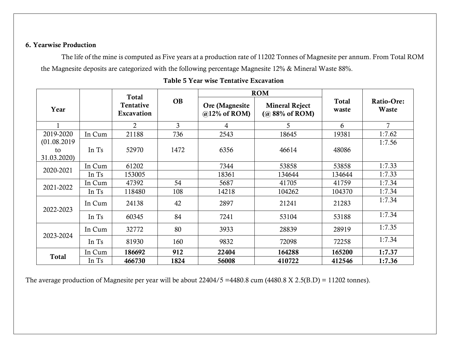## 6. Yearwise Production

The life of the mine is computed as Five years at a production rate of 11202 Tonnes of Magnesite per annum. From Total ROM the Magnesite deposits are categorized with the following percentage Magnesite 12% & Mineral Waste 88%.

|                                  |        | <b>Total</b>            |                |                                    | <b>ROM</b>                                 |                |                     |
|----------------------------------|--------|-------------------------|----------------|------------------------------------|--------------------------------------------|----------------|---------------------|
| Year                             |        | Tentative<br>Excavation | <b>OB</b>      | Ore (Magnesite)<br>$@12\%$ of ROM) | <b>Mineral Reject</b><br>$(a) 88%$ of ROM) | Total<br>waste | Ratio-Ore:<br>Waste |
|                                  |        | $\overline{2}$          | $\overline{3}$ | 4                                  | 5                                          | 6              | 7                   |
| 2019-2020                        | In Cum | 21188                   | 736            | 2543                               | 18645                                      | 19381          | 1:7.62              |
| (01.08.2019<br>to<br>31.03.2020) | In Ts  | 52970                   | 1472           | 6356                               | 46614                                      | 48086          | 1:7.56              |
| 2020-2021                        | In Cum | 61202                   |                | 7344                               | 53858                                      | 53858          | 1:7.33              |
|                                  | In Ts  | 153005                  |                | 18361                              | 134644                                     | 134644         | 1:7.33              |
|                                  | In Cum | 47392                   | 54             | 5687                               | 41705                                      | 41759          | 1:7.34              |
| 2021-2022                        | In Ts  | 118480                  | 108            | 14218                              | 104262                                     | 104370         | 1:7.34              |
| 2022-2023                        | In Cum | 24138                   | 42             | 2897                               | 21241                                      | 21283          | 1:7.34              |
|                                  | In Ts  | 60345                   | 84             | 7241                               | 53104                                      | 53188          | 1:7.34              |
| 2023-2024                        | In Cum | 32772                   | 80             | 3933                               | 28839                                      | 28919          | 1:7.35              |
|                                  | In Ts  | 81930                   | 160            | 9832                               | 72098                                      | 72258          | 1:7.34              |
|                                  | In Cum | 186692                  | 912            | 22404                              | 164288                                     | 165200         | 1:7.37              |
| <b>Total</b>                     | In Ts  | 466730                  | 1824           | 56008                              | 410722                                     | 412546         | 1:7.36              |

**Table 5** Year wise Tentative Excavation

The average production of Magnesite per year will be about 22404/5 =4480.8 cum (4480.8 X 2.5(B.D) = 11202 tonnes).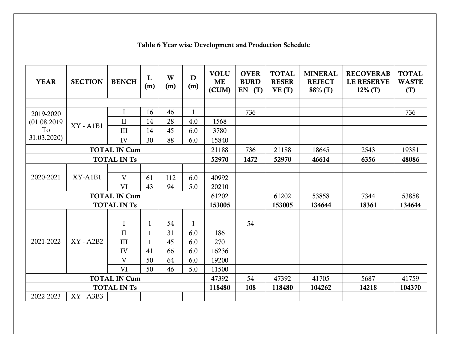| <b>YEAR</b>         | <b>SECTION</b> | <b>BENCH</b>        | L<br>(m)     | W<br>(m) | D<br>(m)     | <b>VOLU</b><br><b>ME</b><br>(CUM) | <b>OVER</b><br><b>BURD</b><br>$EN$ $(T)$ | <b>TOTAL</b><br><b>RESER</b><br>VE(T) | <b>MINERAL</b><br><b>REJECT</b><br>88% (T) | <b>RECOVERAB</b><br><b>LE RESERVE</b><br>$12\%$ (T) | <b>TOTAL</b><br><b>WASTE</b><br>(T) |
|---------------------|----------------|---------------------|--------------|----------|--------------|-----------------------------------|------------------------------------------|---------------------------------------|--------------------------------------------|-----------------------------------------------------|-------------------------------------|
|                     |                |                     |              |          |              |                                   |                                          |                                       |                                            |                                                     |                                     |
| 2019-2020           |                | $\mathbf I$         | 16           | 46       | $\mathbf{1}$ |                                   | 736                                      |                                       |                                            |                                                     | 736                                 |
| (01.08.2019         | $XY - A1B1$    | $\mathbf{I}$        | 14           | 28       | 4.0          | 1568                              |                                          |                                       |                                            |                                                     |                                     |
| To                  |                | III                 | 14           | 45       | 6.0          | 3780                              |                                          |                                       |                                            |                                                     |                                     |
| 31.03.2020)         |                | IV                  | 30           | 88       | 6.0          | 15840                             |                                          |                                       |                                            |                                                     |                                     |
|                     |                | <b>TOTAL IN Cum</b> |              |          |              | 21188                             | 736                                      | 21188                                 | 18645                                      | 2543                                                | 19381                               |
|                     |                | <b>TOTAL IN Ts</b>  |              |          |              | 52970                             | 1472                                     | 52970                                 | 46614                                      | 6356                                                | 48086                               |
|                     |                |                     |              |          |              |                                   |                                          |                                       |                                            |                                                     |                                     |
| 2020-2021           | $XY-AlB1$      | V                   | 61           | 112      | 6.0          | 40992                             |                                          |                                       |                                            |                                                     |                                     |
|                     |                | <b>VI</b>           | 43           | 94       | 5.0          | 20210                             |                                          |                                       |                                            |                                                     |                                     |
|                     |                | <b>TOTAL IN Cum</b> |              |          |              | 61202                             |                                          | 61202                                 | 53858                                      | 7344                                                | 53858                               |
|                     |                | <b>TOTAL IN Ts</b>  |              |          |              | 153005                            |                                          | 153005                                | 134644                                     | 18361                                               | 134644                              |
|                     |                |                     |              |          |              |                                   |                                          |                                       |                                            |                                                     |                                     |
|                     |                | $\mathbf I$         | $\mathbf{1}$ | 54       | $\mathbf{1}$ |                                   | 54                                       |                                       |                                            |                                                     |                                     |
|                     |                | $\mathbf{I}$        | $\mathbf{1}$ | 31       | 6.0          | 186                               |                                          |                                       |                                            |                                                     |                                     |
| 2021-2022           | $XY - A2B2$    | III                 | 1            | 45       | 6.0          | 270                               |                                          |                                       |                                            |                                                     |                                     |
|                     |                | IV                  | 41           | 66       | 6.0          | 16236                             |                                          |                                       |                                            |                                                     |                                     |
|                     |                | V                   | 50           | 64       | 6.0          | 19200                             |                                          |                                       |                                            |                                                     |                                     |
|                     |                | <b>VI</b>           | 50           | 46       | 5.0          | 11500                             |                                          |                                       |                                            |                                                     |                                     |
| <b>TOTAL IN Cum</b> |                |                     |              |          | 47392        | 54                                | 47392                                    | 41705                                 | 5687                                       | 41759                                               |                                     |
| <b>TOTAL IN Ts</b>  |                |                     |              |          | 118480       | 108                               | 118480                                   | 104262                                | 14218                                      | 104370                                              |                                     |
| 2022-2023           | XY - A3B3      |                     |              |          |              |                                   |                                          |                                       |                                            |                                                     |                                     |

# **Table 6** Year wise Development and Production Schedule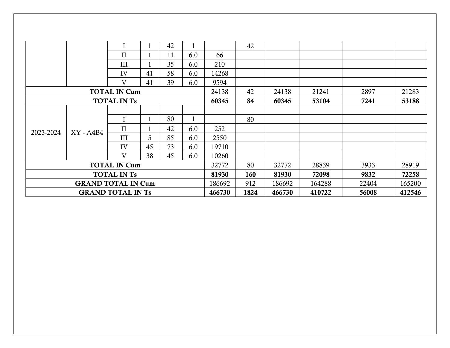|                           |             | I                   |    | 42 |     |        | 42   |        |        |       |        |
|---------------------------|-------------|---------------------|----|----|-----|--------|------|--------|--------|-------|--------|
|                           |             | $\mathbf{I}$        |    | 11 | 6.0 | 66     |      |        |        |       |        |
|                           |             | III                 |    | 35 | 6.0 | 210    |      |        |        |       |        |
|                           |             | IV                  | 41 | 58 | 6.0 | 14268  |      |        |        |       |        |
|                           |             | V                   | 41 | 39 | 6.0 | 9594   |      |        |        |       |        |
|                           |             | <b>TOTAL IN Cum</b> |    |    |     | 24138  | 42   | 24138  | 21241  | 2897  | 21283  |
|                           |             | <b>TOTAL IN Ts</b>  |    |    |     | 60345  | 84   | 60345  | 53104  | 7241  | 53188  |
|                           |             |                     |    |    |     |        |      |        |        |       |        |
|                           |             | I                   |    | 80 |     |        | 80   |        |        |       |        |
| 2023-2024                 | $XY - A4B4$ | $\mathbf{I}$        |    | 42 | 6.0 | 252    |      |        |        |       |        |
|                           |             | III                 | 5  | 85 | 6.0 | 2550   |      |        |        |       |        |
|                           |             | IV                  | 45 | 73 | 6.0 | 19710  |      |        |        |       |        |
|                           |             | V                   | 38 | 45 | 6.0 | 10260  |      |        |        |       |        |
| <b>TOTAL IN Cum</b>       |             |                     |    |    |     | 32772  | 80   | 32772  | 28839  | 3933  | 28919  |
| <b>TOTAL IN Ts</b>        |             |                     |    |    |     | 81930  | 160  | 81930  | 72098  | 9832  | 72258  |
| <b>GRAND TOTAL IN Cum</b> |             |                     |    |    |     | 186692 | 912  | 186692 | 164288 | 22404 | 165200 |
| <b>GRAND TOTAL IN Ts</b>  |             |                     |    |    |     | 466730 | 1824 | 466730 | 410722 | 56008 | 412546 |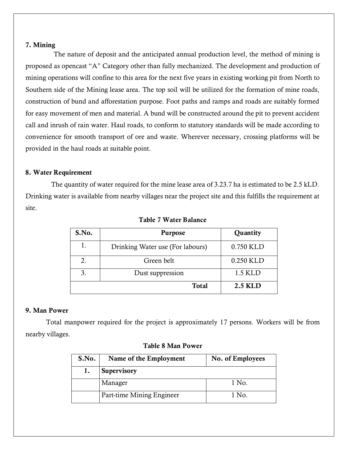#### 7. Mining

The nature of deposit and the anticipated annual production level, the method of mining is proposed as opencast "A" Category other than fully mechanized. The development and production of mining operations will confine to this area for the next five years in existing working pit from North to Southern side of the Mining lease area. The top soil will be utilized for the formation of mine roads, construction of bund and afforestation purpose. Foot paths and ramps and roads are suitably formed for easy movement of men and material. A bund will be constructed around the pit to prevent accident call and inrush of rain water. Haul roads, to conform to statutory standards will be made according to convenience for smooth transport of ore and waste. Wherever necessary, crossing platforms will be provided in the haul roads at suitable point.

#### 8. Water Requirement

 The quantity of water required for the mine lease area of 3.23.7 ha is estimated to be 2.5 kLD. Drinking water is available from nearby villages near the project site and this fulfills the requirement at site.

| S.No. | <b>Purpose</b>                   | Quantity       |
|-------|----------------------------------|----------------|
| 1.    | Drinking Water use (For labours) | 0.750 KLD      |
| 2.    | Green belt                       | 0.250 KLD      |
| 3.    | Dust suppression                 | 1.5 KLD        |
|       | <b>Total</b>                     | <b>2.5 KLD</b> |

#### Table 7 Water Balance

### 9. Man Power

 Total manpower required for the project is approximately 17 persons. Workers will be from nearby villages.

| S.No. | Name of the Employment    | No. of Employees |
|-------|---------------------------|------------------|
| 1.    | Supervisory               |                  |
|       | Manager                   | 1 No.            |
|       | Part-time Mining Engineer | 1 No.            |

#### Table 8 Man Power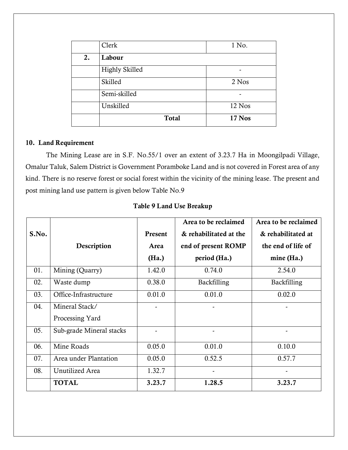|    | Clerk                 | 1 No.  |
|----|-----------------------|--------|
| 2. | Labour                |        |
|    | <b>Highly Skilled</b> |        |
|    | Skilled               | 2 Nos  |
|    | Semi-skilled          |        |
|    | Unskilled             | 12 Nos |
|    | <b>Total</b>          | 17 Nos |

## 10. Land Requirement

 The Mining Lease are in S.F. No.55/1 over an extent of 3.23.7 Ha in Moongilpadi Village, Omalur Taluk, Salem District is Government Poramboke Land and is not covered in Forest area of any kind. There is no reserve forest or social forest within the vicinity of the mining lease. The present and post mining land use pattern is given below Table No.9

|       |                          |         | Area to be reclaimed   | Area to be reclaimed |
|-------|--------------------------|---------|------------------------|----------------------|
| S.No. |                          | Present | & rehabilitated at the | & rehabilitated at   |
|       | Description              | Area    | end of present ROMP    | the end of life of   |
|       |                          | (Ha.)   | period (Ha.)           | $mine$ (Ha.)         |
| 01.   | Mining (Quarry)          | 1.42.0  | 0.74.0                 | 2.54.0               |
| 02.   | Waste dump               | 0.38.0  | Backfilling            | Backfilling          |
| 03.   | Office-Infrastructure    | 0.01.0  | 0.01.0                 | 0.02.0               |
| 04.   | Mineral Stack/           |         |                        |                      |
|       | Processing Yard          |         |                        |                      |
| 05.   | Sub-grade Mineral stacks |         |                        |                      |
| 06.   | Mine Roads               | 0.05.0  | 0.01.0                 | 0.10.0               |
| 07.   | Area under Plantation    | 0.05.0  | 0.52.5                 | 0.57.7               |
| 08.   | Unutilized Area          | 1.32.7  | $\tilde{\phantom{a}}$  |                      |
|       | <b>TOTAL</b>             | 3.23.7  | 1.28.5                 | 3.23.7               |

Table 9 Land Use Breakup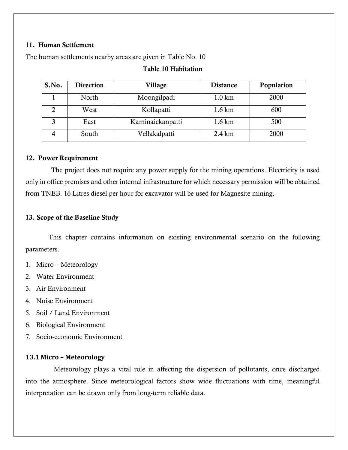### 11. Human Settlement

The human settlements nearby areas are given in Table No. 10

## Table 10 Habitation

| S.No. | <b>Direction</b> | Village          | <b>Distance</b>   | Population |
|-------|------------------|------------------|-------------------|------------|
|       | North            | Moongilpadi      | $1.0 \mathrm{km}$ | 2000       |
|       | West             | Kollapatti       | $1.6 \mathrm{km}$ | 600        |
|       | East             | Kaminaickanpatti | $1.6 \mathrm{km}$ | 500        |
|       | South            | Vellakalpatti    | $2.4 \mathrm{km}$ | 2000       |

#### 12. Power Requirement

 The project does not require any power supply for the mining operations. Electricity is used only in office premises and other internal infrastructure for which necessary permission will be obtained from TNEB. 16 Litres diesel per hour for excavator will be used for Magnesite mining.

## 13. Scope of the Baseline Study

 This chapter contains information on existing environmental scenario on the following parameters.

- 1. Micro Meteorology
- 2. Water Environment
- 3. Air Environment
- 4. Noise Environment
- 5. Soil / Land Environment
- 6. Biological Environment
- 7. Socio-economic Environment

## **13.1 Micro – Meteorology**

 Meteorology plays a vital role in affecting the dispersion of pollutants, once discharged into the atmosphere. Since meteorological factors show wide fluctuations with time, meaningful interpretation can be drawn only from long-term reliable data.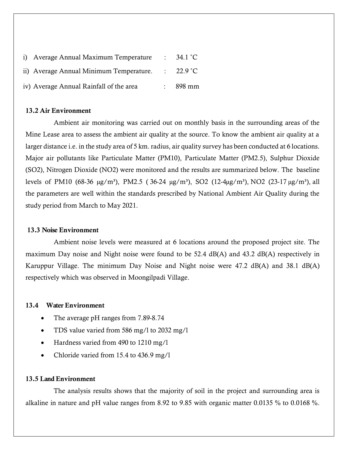| i) Average Annual Maximum Temperature   | : $34.1^{\circ}C$    |
|-----------------------------------------|----------------------|
| ii) Average Annual Minimum Temperature. | $\therefore$ 22.9 °C |
| iv) Average Annual Rainfall of the area | $\frac{1}{2}$ 898 mm |

#### 13.2 Air Environment

 Ambient air monitoring was carried out on monthly basis in the surrounding areas of the Mine Lease area to assess the ambient air quality at the source. To know the ambient air quality at a larger distance i.e. in the study area of 5 km. radius, air quality survey has been conducted at 6 locations. Major air pollutants like Particulate Matter (PM10), Particulate Matter (PM2.5), Sulphur Dioxide (SO2), Nitrogen Dioxide (NO2) were monitored and the results are summarized below. The baseline levels of PM10 (68-36  $\mu$ g/m<sup>3</sup>), PM2.5 (36-24  $\mu$ g/m<sup>3</sup>), SO2 (12-4 $\mu$ g/m<sup>3</sup>), NO2 (23-17  $\mu$ g/m<sup>3</sup>), all the parameters are well within the standards prescribed by National Ambient Air Quality during the study period from March to May 2021.

#### 13.3 Noise Environment

 Ambient noise levels were measured at 6 locations around the proposed project site. The maximum Day noise and Night noise were found to be 52.4 dB(A) and 43.2 dB(A) respectively in Karuppur Village. The minimum Day Noise and Night noise were 47.2 dB(A) and 38.1 dB(A) respectively which was observed in Moongilpadi Village.

#### 13.4 Water Environment

- The average pH ranges from 7.89-8.74
- TDS value varied from 586 mg/l to 2032 mg/l
- Hardness varied from 490 to 1210 mg/1
- Chloride varied from 15.4 to 436.9 mg/l

#### 13.5 Land Environment

 The analysis results shows that the majority of soil in the project and surrounding area is alkaline in nature and pH value ranges from 8.92 to 9.85 with organic matter 0.0135 % to 0.0168 %.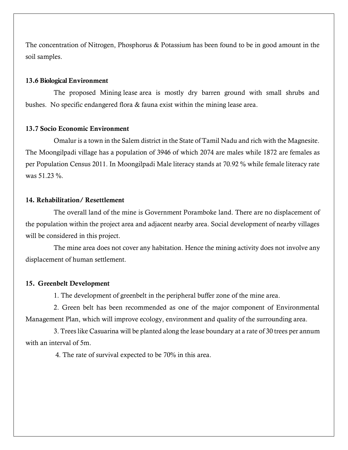The concentration of Nitrogen, Phosphorus & Potassium has been found to be in good amount in the soil samples.

#### 13.6 Biological Environment

 The proposed Mining lease area is mostly dry barren ground with small shrubs and bushes. No specific endangered flora & fauna exist within the mining lease area.

#### 13.7 Socio Economic Environment

 Omalur is a town in the Salem district in the State of Tamil Nadu and rich with the Magnesite. The Moongilpadi village has a population of 3946 of which 2074 are males while 1872 are females as per Population Census 2011. In Moongilpadi Male literacy stands at 70.92 % while female literacy rate was 51.23 %.

#### 14. Rehabilitation/ Resettlement

 The overall land of the mine is Government Poramboke land. There are no displacement of the population within the project area and adjacent nearby area. Social development of nearby villages will be considered in this project.

 The mine area does not cover any habitation. Hence the mining activity does not involve any displacement of human settlement.

#### 15. Greenbelt Development

1. The development of greenbelt in the peripheral buffer zone of the mine area.

2. Green belt has been recommended as one of the major component of Environmental Management Plan, which will improve ecology, environment and quality of the surrounding area.

3. Trees like Casuarina will be planted along the lease boundary at a rate of 30 trees per annum with an interval of 5m.

4. The rate of survival expected to be 70% in this area.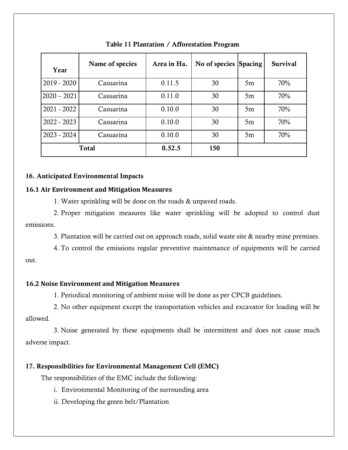| Year          | Name of species | Area in Ha. | No of species Spacing |    | <b>Survival</b> |
|---------------|-----------------|-------------|-----------------------|----|-----------------|
| $2019 - 2020$ | Casuarina       | 0.11.5      | 30                    | 5m | 70%             |
| $2020 - 2021$ | Casuarina       | 0.11.0      | 30                    | 5m | 70%             |
| $2021 - 2022$ | Casuarina       | 0.10.0      | 30                    | 5m | 70%             |
| 2022 - 2023   | Casuarina       | 0.10.0      | 30                    | 5m | 70%             |
| $2023 - 2024$ | Casuarina       | 0.10.0      | 30                    | 5m | 70%             |
|               | <b>Total</b>    | 0.52.5      | 150                   |    |                 |

Table 11 Plantation / Afforestation Program

#### 16. Anticipated Environmental Impacts

#### **16.1 Air Environment and Mitigation Measures**

1. Water sprinkling will be done on the roads & unpaved roads.

 2. Proper mitigation measures like water sprinkling will be adopted to control dust emissions.

3. Plantation will be carried out on approach roads, solid waste site & nearby mine premises.

 4. To control the emissions regular preventive maintenance of equipments will be carried out.

## **16.2 Noise Environment and Mitigation Measures**

1. Periodical monitoring of ambient noise will be done as per CPCB guidelines.

 2. No other equipment except the transportation vehicles and excavator for loading will be allowed.

 3. Noise generated by these equipments shall be intermittent and does not cause much adverse impact.

## 17. Responsibilities for Environmental Management Cell (EMC)

The responsibilities of the EMC include the following:

- i. Environmental Monitoring of the surrounding area
- ii. Developing the green belt/Plantation